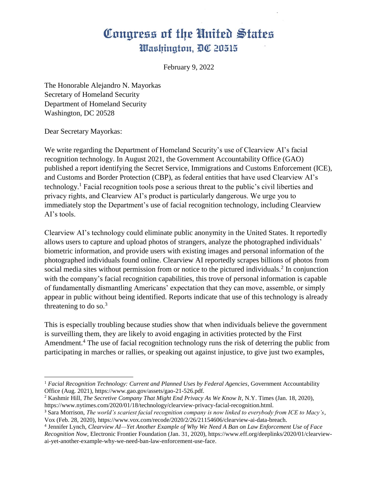February 9, 2022

The Honorable Alejandro N. Mayorkas Secretary of Homeland Security Department of Homeland Security Washington, DC 20528

Dear Secretary Mayorkas:

We write regarding the Department of Homeland Security's use of Clearview AI's facial recognition technology. In August 2021, the Government Accountability Office (GAO) published a report identifying the Secret Service, Immigrations and Customs Enforcement (ICE), and Customs and Border Protection (CBP), as federal entities that have used Clearview AI's technology.<sup>1</sup> Facial recognition tools pose a serious threat to the public's civil liberties and privacy rights, and Clearview AI's product is particularly dangerous. We urge you to immediately stop the Department's use of facial recognition technology, including Clearview AI's tools.

Clearview AI's technology could eliminate public anonymity in the United States. It reportedly allows users to capture and upload photos of strangers, analyze the photographed individuals' biometric information, and provide users with existing images and personal information of the photographed individuals found online. Clearview AI reportedly scrapes billions of photos from social media sites without permission from or notice to the pictured individuals.<sup>2</sup> In conjunction with the company's facial recognition capabilities, this trove of personal information is capable of fundamentally dismantling Americans' expectation that they can move, assemble, or simply appear in public without being identified. Reports indicate that use of this technology is already threatening to do so. $3$ 

This is especially troubling because studies show that when individuals believe the government is surveilling them, they are likely to avoid engaging in activities protected by the First Amendment.<sup>4</sup> The use of facial recognition technology runs the risk of deterring the public from participating in marches or rallies, or speaking out against injustice, to give just two examples,

 $\overline{\phantom{a}}$ <sup>1</sup> Facial Recognition Technology: Current and Planned Uses by Federal Agencies, Government Accountability Office (Aug. 2021), https://www.gao.gov/assets/gao-21-526.pdf.

<sup>2</sup> Kashmir Hill, *The Secretive Company That Might End Privacy As We Know It,* N.Y. Times (Jan. 18, 2020), https://www.nytimes.com/2020/01/18/technology/clearview-privacy-facial-recognition.html.

<sup>3</sup> Sara Morrison, *The world's scariest facial recognition company is now linked to everybody from ICE to Macy's*, Vox (Feb. 28, 2020), https://www.vox.com/recode/2020/2/26/21154606/clearview-ai-data-breach.

<sup>4</sup> Jennifer Lynch, *Clearview AI—Yet Another Example of Why We Need A Ban on Law Enforcement Use of Face Recognition Now*, Electronic Frontier Foundation (Jan. 31, 2020), https://www.eff.org/deeplinks/2020/01/clearviewai-yet-another-example-why-we-need-ban-law-enforcement-use-face.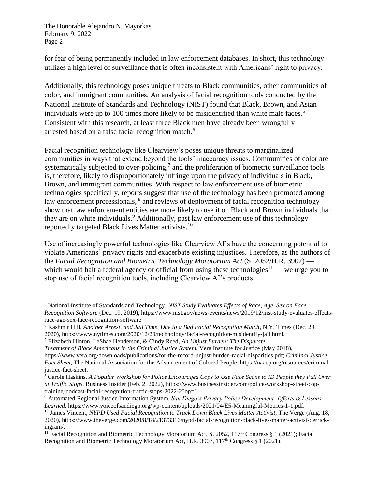The Honorable Alejandro N. Mayorkas February 9, 2022 Page 2

 $\overline{\phantom{a}}$ 

for fear of being permanently included in law enforcement databases. In short, this technology utilizes a high level of surveillance that is often inconsistent with Americans' right to privacy.

Additionally, this technology poses unique threats to Black communities, other communities of color, and immigrant communities. An analysis of facial recognition tools conducted by the National Institute of Standards and Technology (NIST) found that Black, Brown, and Asian individuals were up to 100 times more likely to be misidentified than white male faces.<sup>5</sup> Consistent with this research, at least three Black men have already been wrongfully arrested based on a false facial recognition match.<sup>6</sup>

Facial recognition technology like Clearview's poses unique threats to marginalized communities in ways that extend beyond the tools' inaccuracy issues. Communities of color are systematically subjected to over-policing,<sup>7</sup> and the proliferation of biometric surveillance tools is, therefore, likely to disproportionately infringe upon the privacy of individuals in Black, Brown, and immigrant communities. With respect to law enforcement use of biometric technologies specifically, reports suggest that use of the technology has been promoted among law enforcement professionals, <sup>8</sup> and reviews of deployment of facial recognition technology show that law enforcement entities are more likely to use it on Black and Brown individuals than they are on white individuals. <sup>9</sup> Additionally, past law enforcement use of this technology reportedly targeted Black Lives Matter activists.<sup>10</sup>

Use of increasingly powerful technologies like Clearview AI's have the concerning potential to violate Americans' privacy rights and exacerbate existing injustices. Therefore, as the authors of the *Facial Recognition and Biometric Technology Moratorium Act* (S. 2052/H.R. 3907) which would halt a federal agency or official from using these technologies<sup>11</sup> — we urge you to stop use of facial recognition tools, including Clearview AI's products.

*Treatment of Black Americans in the Criminal Justice System*, Vera Institute for Justice (May 2018), https://www.vera.org/downloads/publications/for-the-record-unjust-burden-racial-disparities.pdf; *Criminal Justice Fact Sheet*, The National Association for the Advancement of Colored People, https://naacp.org/resources/criminaljustice-fact-sheet.

<sup>5</sup> National Institute of Standards and Technology, *NIST Study Evaluates Effects of Race, Age, Sex on Face Recognition Software* (Dec. 19, 2019), https://www.nist.gov/news-events/news/2019/12/nist-study-evaluates-effectsrace-age-sex-face-recognition-software

<sup>6</sup> Kashmir Hill, *Another Arrest, and Jail Time, Due to a Bad Facial Recognition Match*, N.Y. Times (Dec. 29, 2020), https://www.nytimes.com/2020/12/29/technology/facial-recognition-misidentify-jail.html.

<sup>7</sup> Elizabeth Hinton, LeShae Henderson, & Cindy Reed, *An Unjust Burden: The Disparate*

<sup>8</sup> Carole Haskins, *A Popular Workshop for Police Encouraged Cops to Use Face Scans to ID People they Pull Over at Traffic Stops*, Business Insider (Feb. 2, 2022), https://www.businessinsider.com/police-workshop-street-coptraining-podcast-facial-recognition-traffic-stops-2022-2?op=1.

<sup>9</sup> Automated Regional Justice Information System, *San Diego's Privacy Policy Development: Efforts & Lessons Learned*, https://www.voiceofsandiego.org/wp-content/uploads/2021/04/E5-Meaningful-Metrics-1-1.pdf.

<sup>10</sup> James Vincent*, NYPD Used Facial Recognition to Track Down Black Lives Matter Activist*, The Verge (Aug. 18, 2020), https://www.theverge.com/2020/8/18/21373316/nypd-facial-recognition-black-lives-matter-activist-derrickingram/.

<sup>&</sup>lt;sup>11</sup> Facial Recognition and Biometric Technology Moratorium Act, S. 2052, 117<sup>th</sup> Congress § 1 (2021); Facial Recognition and Biometric Technology Moratorium Act, H.R. 3907, 117th Congress § 1 (2021).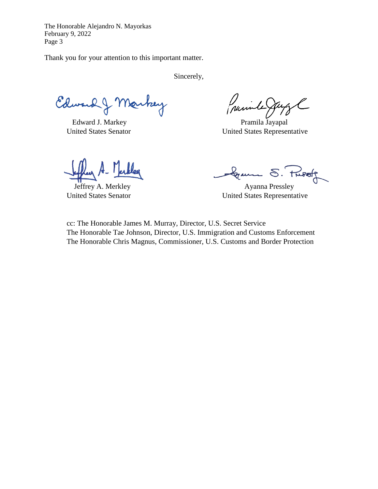The Honorable Alejandro N. Mayorkas February 9, 2022 Page 3

Thank you for your attention to this important matter.

Sincerely,

Edward J Markey

Edward J. Markey Pramila Jayapal

purile

United States Senator United States Representative

Gramm S.

Jeffrey A. Merkley Ayanna Pressley United States Senator United States Representative

cc: The Honorable James M. Murray, Director, U.S. Secret Service The Honorable Tae Johnson, Director, U.S. Immigration and Customs Enforcement The Honorable Chris Magnus, Commissioner, U.S. Customs and Border Protection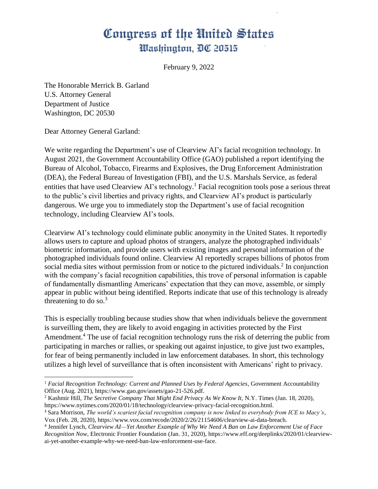February 9, 2022

The Honorable Merrick B. Garland U.S. Attorney General Department of Justice Washington, DC 20530

Dear Attorney General Garland:

 $\overline{\phantom{a}}$ 

We write regarding the Department's use of Clearview AI's facial recognition technology. In August 2021, the Government Accountability Office (GAO) published a report identifying the Bureau of Alcohol, Tobacco, Firearms and Explosives, the Drug Enforcement Administration (DEA), the Federal Bureau of Investigation (FBI), and the U.S. Marshals Service, as federal entities that have used Clearview AI's technology.<sup>1</sup> Facial recognition tools pose a serious threat to the public's civil liberties and privacy rights, and Clearview AI's product is particularly dangerous. We urge you to immediately stop the Department's use of facial recognition technology, including Clearview AI's tools.

Clearview AI's technology could eliminate public anonymity in the United States. It reportedly allows users to capture and upload photos of strangers, analyze the photographed individuals' biometric information, and provide users with existing images and personal information of the photographed individuals found online. Clearview AI reportedly scrapes billions of photos from social media sites without permission from or notice to the pictured individuals.<sup>2</sup> In conjunction with the company's facial recognition capabilities, this trove of personal information is capable of fundamentally dismantling Americans' expectation that they can move, assemble, or simply appear in public without being identified. Reports indicate that use of this technology is already threatening to do so. $3$ 

This is especially troubling because studies show that when individuals believe the government is surveilling them, they are likely to avoid engaging in activities protected by the First Amendment.<sup>4</sup> The use of facial recognition technology runs the risk of deterring the public from participating in marches or rallies, or speaking out against injustice, to give just two examples, for fear of being permanently included in law enforcement databases. In short, this technology utilizes a high level of surveillance that is often inconsistent with Americans' right to privacy.

<sup>&</sup>lt;sup>1</sup> Facial Recognition Technology: Current and Planned Uses by Federal Agencies, Government Accountability Office (Aug. 2021), https://www.gao.gov/assets/gao-21-526.pdf.

<sup>2</sup> Kashmir Hill, *The Secretive Company That Might End Privacy As We Know It,* N.Y. Times (Jan. 18, 2020), https://www.nytimes.com/2020/01/18/technology/clearview-privacy-facial-recognition.html.

<sup>3</sup> Sara Morrison, *The world's scariest facial recognition company is now linked to everybody from ICE to Macy's*, Vox (Feb. 28, 2020), https://www.vox.com/recode/2020/2/26/21154606/clearview-ai-data-breach.

<sup>4</sup> Jennifer Lynch, *Clearview AI—Yet Another Example of Why We Need A Ban on Law Enforcement Use of Face Recognition Now*, Electronic Frontier Foundation (Jan. 31, 2020), https://www.eff.org/deeplinks/2020/01/clearviewai-yet-another-example-why-we-need-ban-law-enforcement-use-face.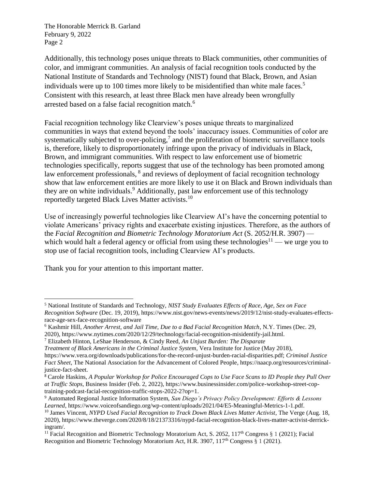The Honorable Merrick B. Garland February 9, 2022 Page 2

Additionally, this technology poses unique threats to Black communities, other communities of color, and immigrant communities. An analysis of facial recognition tools conducted by the National Institute of Standards and Technology (NIST) found that Black, Brown, and Asian individuals were up to 100 times more likely to be misidentified than white male faces.<sup>5</sup> Consistent with this research, at least three Black men have already been wrongfully arrested based on a false facial recognition match.<sup>6</sup>

Facial recognition technology like Clearview's poses unique threats to marginalized communities in ways that extend beyond the tools' inaccuracy issues. Communities of color are systematically subjected to over-policing,<sup>7</sup> and the proliferation of biometric surveillance tools is, therefore, likely to disproportionately infringe upon the privacy of individuals in Black, Brown, and immigrant communities. With respect to law enforcement use of biometric technologies specifically, reports suggest that use of the technology has been promoted among law enforcement professionals, <sup>8</sup> and reviews of deployment of facial recognition technology show that law enforcement entities are more likely to use it on Black and Brown individuals than they are on white individuals. <sup>9</sup> Additionally, past law enforcement use of this technology reportedly targeted Black Lives Matter activists.<sup>10</sup>

Use of increasingly powerful technologies like Clearview AI's have the concerning potential to violate Americans' privacy rights and exacerbate existing injustices. Therefore, as the authors of the *Facial Recognition and Biometric Technology Moratorium Act* (S. 2052/H.R. 3907) which would halt a federal agency or official from using these technologies<sup>11</sup> — we urge you to stop use of facial recognition tools, including Clearview AI's products.

Thank you for your attention to this important matter.

 $\overline{\phantom{a}}$ 

*Treatment of Black Americans in the Criminal Justice System*, Vera Institute for Justice (May 2018), https://www.vera.org/downloads/publications/for-the-record-unjust-burden-racial-disparities.pdf; *Criminal Justice Fact Sheet*, The National Association for the Advancement of Colored People, https://naacp.org/resources/criminaljustice-fact-sheet.

<sup>5</sup> National Institute of Standards and Technology, *NIST Study Evaluates Effects of Race, Age, Sex on Face Recognition Software* (Dec. 19, 2019), https://www.nist.gov/news-events/news/2019/12/nist-study-evaluates-effectsrace-age-sex-face-recognition-software

<sup>6</sup> Kashmir Hill, *Another Arrest, and Jail Time, Due to a Bad Facial Recognition Match*, N.Y. Times (Dec. 29,

<sup>2020),</sup> https://www.nytimes.com/2020/12/29/technology/facial-recognition-misidentify-jail.html. <sup>7</sup> Elizabeth Hinton, LeShae Henderson, & Cindy Reed, *An Unjust Burden: The Disparate*

<sup>8</sup> Carole Haskins, *A Popular Workshop for Police Encouraged Cops to Use Face Scans to ID People they Pull Over at Traffic Stops*, Business Insider (Feb. 2, 2022), https://www.businessinsider.com/police-workshop-street-coptraining-podcast-facial-recognition-traffic-stops-2022-2?op=1.

<sup>9</sup> Automated Regional Justice Information System, *San Diego's Privacy Policy Development: Efforts & Lessons Learned*, https://www.voiceofsandiego.org/wp-content/uploads/2021/04/E5-Meaningful-Metrics-1-1.pdf.

<sup>10</sup> James Vincent, *NYPD Used Facial Recognition to Track Down Black Lives Matter Activist*, The Verge (Aug. 18, 2020), https://www.theverge.com/2020/8/18/21373316/nypd-facial-recognition-black-lives-matter-activist-derrickingram/.

<sup>&</sup>lt;sup>11</sup> Facial Recognition and Biometric Technology Moratorium Act, S. 2052, 117<sup>th</sup> Congress § 1 (2021); Facial Recognition and Biometric Technology Moratorium Act, H.R. 3907, 117th Congress § 1 (2021).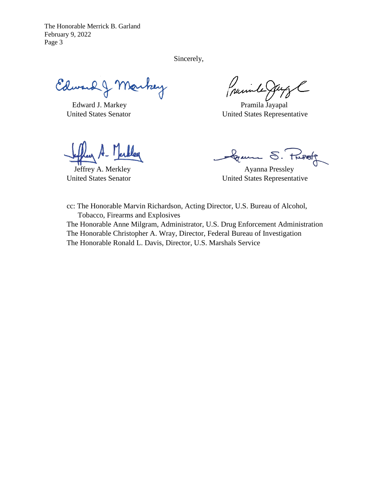The Honorable Merrick B. Garland February 9, 2022 Page 3

Sincerely,

Edward J Markey

Prainte

Edward J. Markey Pramila Jayapal United States Senator United States Representative

Gramme S. Fusof

Jeffrey A. Merkley **Ayanna Pressley** United States Senator United States Representative

cc: The Honorable Marvin Richardson, Acting Director, U.S. Bureau of Alcohol, Tobacco, Firearms and Explosives The Honorable Anne Milgram, Administrator, U.S. Drug Enforcement Administration The Honorable Christopher A. Wray, Director, Federal Bureau of Investigation The Honorable Ronald L. Davis, Director, U.S. Marshals Service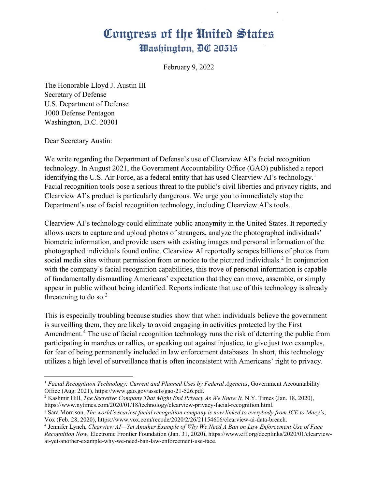February 9, 2022

The Honorable Lloyd J. Austin III Secretary of Defense U.S. Department of Defense 1000 Defense Pentagon Washington, D.C. 20301

Dear Secretary Austin:

l

We write regarding the Department of Defense's use of Clearview AI's facial recognition technology. In August 2021, the Government Accountability Office (GAO) published a report identifying the U.S. Air Force, as a federal entity that has used Clearview AI's technology.<sup>[1](#page-6-0)</sup> Facial recognition tools pose a serious threat to the public's civil liberties and privacy rights, and Clearview AI's product is particularly dangerous. We urge you to immediately stop the Department's use of facial recognition technology, including Clearview AI's tools.

Clearview AI's technology could eliminate public anonymity in the United States. It reportedly allows users to capture and upload photos of strangers, analyze the photographed individuals' biometric information, and provide users with existing images and personal information of the photographed individuals found online. Clearview AI reportedly scrapes billions of photos from social media sites without permission from or notice to the pictured individuals.<sup>[2](#page-6-1)</sup> In conjunction with the company's facial recognition capabilities, this trove of personal information is capable of fundamentally dismantling Americans' expectation that they can move, assemble, or simply appear in public without being identified. Reports indicate that use of this technology is already threatening to do so. $3$ 

This is especially troubling because studies show that when individuals believe the government is surveilling them, they are likely to avoid engaging in activities protected by the First Amendment.<sup>[4](#page-6-3)</sup> The use of facial recognition technology runs the risk of deterring the public from participating in marches or rallies, or speaking out against injustice, to give just two examples, for fear of being permanently included in law enforcement databases. In short, this technology utilizes a high level of surveillance that is often inconsistent with Americans' right to privacy.

<span id="page-6-0"></span><sup>&</sup>lt;sup>1</sup> Facial Recognition Technology: Current and Planned Uses by Federal Agencies, Government Accountability Office (Aug. 2021), https://www.gao.gov/assets/gao-21-526.pdf.

<span id="page-6-1"></span><sup>2</sup> Kashmir Hill, *The Secretive Company That Might End Privacy As We Know It,* N.Y. Times (Jan. 18, 2020), https://www.nytimes.com/2020/01/18/technology/clearview-privacy-facial-recognition.html.

<span id="page-6-2"></span><sup>3</sup> Sara Morrison, *The world's scariest facial recognition company is now linked to everybody from ICE to Macy's*, Vox (Feb. 28, 2020), https://www.vox.com/recode/2020/2/26/21154606/clearview-ai-data-breach.

<span id="page-6-3"></span><sup>4</sup> Jennifer Lynch, *Clearview AI—Yet Another Example of Why We Need A Ban on Law Enforcement Use of Face Recognition Now*, Electronic Frontier Foundation (Jan. 31, 2020), https://www.eff.org/deeplinks/2020/01/clearviewai-yet-another-example-why-we-need-ban-law-enforcement-use-face.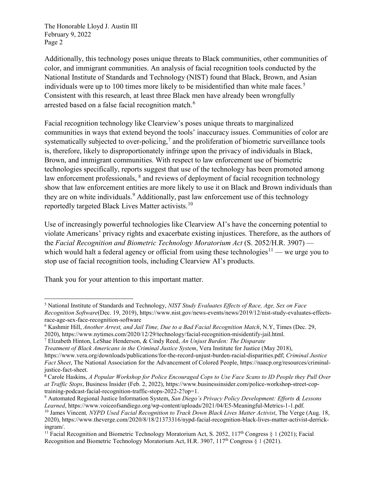The Honorable Lloyd J. Austin III February 9, 2022 Page 2

Additionally, this technology poses unique threats to Black communities, other communities of color, and immigrant communities. An analysis of facial recognition tools conducted by the National Institute of Standards and Technology (NIST) found that Black, Brown, and Asian individuals were up to 100 times more likely to be misidentified than white male faces.<sup>[5](#page-7-0)</sup> Consistent with this research, at least three Black men have already been wrongfully arrested based on a false facial recognition match.<sup>[6](#page-7-1)</sup>

Facial recognition technology like Clearview's poses unique threats to marginalized communities in ways that extend beyond the tools' inaccuracy issues. Communities of color are systematically subjected to over-policing,<sup>[7](#page-7-2)</sup> and the proliferation of biometric surveillance tools is, therefore, likely to disproportionately infringe upon the privacy of individuals in Black, Brown, and immigrant communities. With respect to law enforcement use of biometric technologies specifically, reports suggest that use of the technology has been promoted among law enforcement professionals, <sup>[8](#page-7-3)</sup> and reviews of deployment of facial recognition technology show that law enforcement entities are more likely to use it on Black and Brown individuals than they are on white individuals.<sup>[9](#page-7-4)</sup> Additionally, past law enforcement use of this technology reportedly targeted Black Lives Matter activists.[10](#page-7-5)

Use of increasingly powerful technologies like Clearview AI's have the concerning potential to violate Americans' privacy rights and exacerbate existing injustices. Therefore, as the authors of the *Facial Recognition and Biometric Technology Moratorium Act* (S. 2052/H.R. 3907) — which would halt a federal agency or official from using these technologies<sup>[11](#page-7-6)</sup> — we urge you to stop use of facial recognition tools, including Clearview AI's products.

Thank you for your attention to this important matter.

 $\overline{a}$ 

<span id="page-7-2"></span>*Treatment of Black Americans in the Criminal Justice System*, Vera Institute for Justice (May 2018),

https://www.vera.org/downloads/publications/for-the-record-unjust-burden-racial-disparities.pdf; *Criminal Justice Fact Sheet*, The National Association for the Advancement of Colored People, https://naacp.org/resources/criminaljustice-fact-sheet.

<span id="page-7-0"></span><sup>5</sup> National Institute of Standards and Technology, *NIST Study Evaluates Effects of Race, Age, Sex on Face Recognition Software*(Dec. 19, 2019), https://www.nist.gov/news-events/news/2019/12/nist-study-evaluates-effectsrace-age-sex-face-recognition-software<br><sup>6</sup> Kashmir Hill, *Another Arrest, and Jail Time, Due to a Bad Facial Recognition Match*, N.Y, Times (Dec. 29,

<span id="page-7-1"></span>

<sup>2020),</sup> https://www.nytimes.com/2020/12/29/technology/facial-recognition-misidentify-jail.html. 7 Elizabeth Hinton, LeShae Henderson, & Cindy Reed, *An Unjust Burden: The Disparate*

<span id="page-7-3"></span><sup>8</sup> Carole Haskins, *A Popular Workshop for Police Encouraged Cops to Use Face Scans to ID People they Pull Over at Traffic Stops*, Business Insider (Feb. 2, 2022), https://www.businessinsider.com/police-workshop-street-coptraining-podcast-facial-recognition-traffic-stops-2022-2?op=1.

<span id="page-7-4"></span><sup>9</sup> Automated Regional Justice Information System, *San Diego's Privacy Policy Development: Efforts & Lessons Learned*, https://www.voiceofsandiego.org/wp-content/uploads/2021/04/E5-Meaningful-Metrics-1-1.pdf. 10 James Vincent*, NYPD Used Facial Recognition to Track Down Black Lives Matter Activist*, The Verge (Aug. 18,

<span id="page-7-5"></span><sup>2020),</sup> https://www.theverge.com/2020/8/18/21373316/nypd-facial-recognition-black-lives-matter-activist-derrickingram/.

<span id="page-7-6"></span><sup>&</sup>lt;sup>11</sup> Facial Recognition and Biometric Technology Moratorium Act, S. 2052, 117<sup>th</sup> Congress § 1 (2021); Facial Recognition and Biometric Technology Moratorium Act, H.R. 3907, 117<sup>th</sup> Congress  $\S 1$  (2021).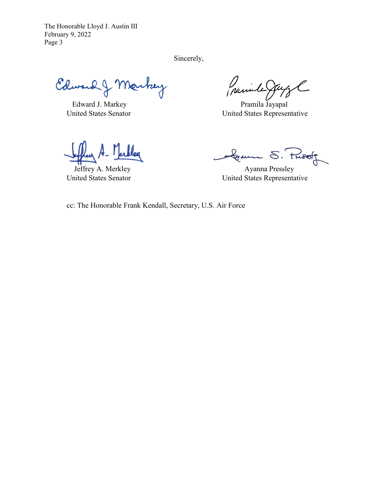The Honorable Lloyd J. Austin III February 9, 2022 Page 3

Sincerely,

Edward J Markey

(parinte)

Edward J. Markey Pramila Jayapal United States Senator United States Representative

Gramme S. Pusst

Jeffrey A. Merkley **Ayanna Pressley** United States Senator United States Representative

cc: The Honorable Frank Kendall, Secretary, U.S. Air Force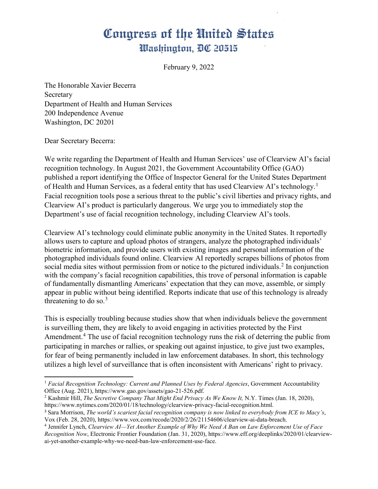February 9, 2022

The Honorable Xavier Becerra Secretary Department of Health and Human Services 200 Independence Avenue Washington, DC 20201

Dear Secretary Becerra:

l

We write regarding the Department of Health and Human Services' use of Clearview AI's facial recognition technology. In August 2021, the Government Accountability Office (GAO) published a report identifying the Office of Inspector General for the United States Department of Health and Human Services, as a federal entity that has used Clearview AI's technology.<sup>[1](#page-9-0)</sup> Facial recognition tools pose a serious threat to the public's civil liberties and privacy rights, and Clearview AI's product is particularly dangerous. We urge you to immediately stop the Department's use of facial recognition technology, including Clearview AI's tools.

Clearview AI's technology could eliminate public anonymity in the United States. It reportedly allows users to capture and upload photos of strangers, analyze the photographed individuals' biometric information, and provide users with existing images and personal information of the photographed individuals found online. Clearview AI reportedly scrapes billions of photos from social media sites without permission from or notice to the pictured individuals.<sup>[2](#page-9-1)</sup> In conjunction with the company's facial recognition capabilities, this trove of personal information is capable of fundamentally dismantling Americans' expectation that they can move, assemble, or simply appear in public without being identified. Reports indicate that use of this technology is already threatening to do so. $3$ 

This is especially troubling because studies show that when individuals believe the government is surveilling them, they are likely to avoid engaging in activities protected by the First Amendment.<sup>[4](#page-9-3)</sup> The use of facial recognition technology runs the risk of deterring the public from participating in marches or rallies, or speaking out against injustice, to give just two examples, for fear of being permanently included in law enforcement databases. In short, this technology utilizes a high level of surveillance that is often inconsistent with Americans' right to privacy.

<span id="page-9-0"></span><sup>&</sup>lt;sup>1</sup> Facial Recognition Technology: Current and Planned Uses by Federal Agencies, Government Accountability Office (Aug. 2021), https://www.gao.gov/assets/gao-21-526.pdf.

<span id="page-9-1"></span><sup>2</sup> Kashmir Hill, *The Secretive Company That Might End Privacy As We Know It,* N.Y. Times (Jan. 18, 2020), https://www.nytimes.com/2020/01/18/technology/clearview-privacy-facial-recognition.html.

<span id="page-9-2"></span><sup>3</sup> Sara Morrison, *The world's scariest facial recognition company is now linked to everybody from ICE to Macy's*, Vox (Feb. 28, 2020), https://www.vox.com/recode/2020/2/26/21154606/clearview-ai-data-breach.

<span id="page-9-3"></span><sup>4</sup> Jennifer Lynch, *Clearview AI—Yet Another Example of Why We Need A Ban on Law Enforcement Use of Face Recognition Now*, Electronic Frontier Foundation (Jan. 31, 2020), https://www.eff.org/deeplinks/2020/01/clearviewai-yet-another-example-why-we-need-ban-law-enforcement-use-face.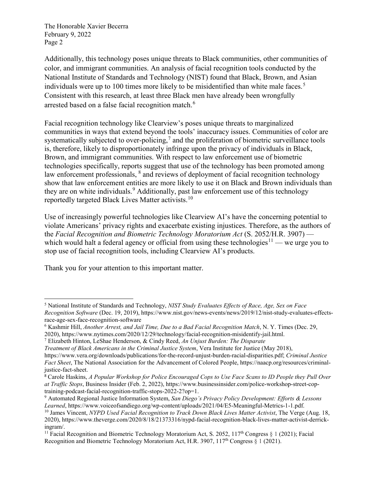The Honorable Xavier Becerra February 9, 2022 Page 2

Additionally, this technology poses unique threats to Black communities, other communities of color, and immigrant communities. An analysis of facial recognition tools conducted by the National Institute of Standards and Technology (NIST) found that Black, Brown, and Asian individuals were up to 100 times more likely to be misidentified than white male faces.<sup>[5](#page-10-0)</sup> Consistent with this research, at least three Black men have already been wrongfully arrested based on a false facial recognition match.<sup>[6](#page-10-1)</sup>

Facial recognition technology like Clearview's poses unique threats to marginalized communities in ways that extend beyond the tools' inaccuracy issues. Communities of color are systematically subjected to over-policing,<sup>[7](#page-10-2)</sup> and the proliferation of biometric surveillance tools is, therefore, likely to disproportionately infringe upon the privacy of individuals in Black, Brown, and immigrant communities. With respect to law enforcement use of biometric technologies specifically, reports suggest that use of the technology has been promoted among law enforcement professionals,  $\delta$  and reviews of deployment of facial recognition technology show that law enforcement entities are more likely to use it on Black and Brown individuals than they are on white individuals.<sup>[9](#page-10-4)</sup> Additionally, past law enforcement use of this technology reportedly targeted Black Lives Matter activists.<sup>[10](#page-10-5)</sup>

Use of increasingly powerful technologies like Clearview AI's have the concerning potential to violate Americans' privacy rights and exacerbate existing injustices. Therefore, as the authors of the *Facial Recognition and Biometric Technology Moratorium Act* (S. 2052/H.R. 3907) — which would halt a federal agency or official from using these technologies<sup>[11](#page-10-6)</sup> — we urge you to stop use of facial recognition tools, including Clearview AI's products.

Thank you for your attention to this important matter.

 $\overline{a}$ 

<span id="page-10-0"></span><sup>5</sup> National Institute of Standards and Technology, *NIST Study Evaluates Effects of Race, Age, Sex on Face Recognition Software* (Dec. 19, 2019), https://www.nist.gov/news-events/news/2019/12/nist-study-evaluates-effectsrace-age-sex-face-recognition-software<br><sup>6</sup> Kashmir Hill, *Another Arrest, and Jail Time, Due to a Bad Facial Recognition Match*, N. Y. Times (Dec. 29,

<span id="page-10-1"></span>

<sup>2020),</sup> https://www.nytimes.com/2020/12/29/technology/facial-recognition-misidentify-jail.html. 7 Elizabeth Hinton, LeShae Henderson, & Cindy Reed, *An Unjust Burden: The Disparate*

<span id="page-10-2"></span>*Treatment of Black Americans in the Criminal Justice System*, Vera Institute for Justice (May 2018),

https://www.vera.org/downloads/publications/for-the-record-unjust-burden-racial-disparities.pdf; *Criminal Justice Fact Sheet*, The National Association for the Advancement of Colored People, https://naacp.org/resources/criminaljustice-fact-sheet.

<span id="page-10-3"></span><sup>8</sup> Carole Haskins, *A Popular Workshop for Police Encouraged Cops to Use Face Scans to ID People they Pull Over at Traffic Stops*, Business Insider (Feb. 2, 2022), https://www.businessinsider.com/police-workshop-street-coptraining-podcast-facial-recognition-traffic-stops-2022-2?op=1.

<span id="page-10-4"></span><sup>9</sup> Automated Regional Justice Information System, *San Diego's Privacy Policy Development: Efforts & Lessons Learned*, https://www.voiceofsandiego.org/wp-content/uploads/2021/04/E5-Meaningful-Metrics-1-1.pdf. 10 James Vincent, *NYPD Used Facial Recognition to Track Down Black Lives Matter Activist*, The Verge (Aug. 18,

<span id="page-10-5"></span><sup>2020),</sup> https://www.theverge.com/2020/8/18/21373316/nypd-facial-recognition-black-lives-matter-activist-derrickingram/.

<span id="page-10-6"></span><sup>&</sup>lt;sup>11</sup> Facial Recognition and Biometric Technology Moratorium Act, S. 2052, 117<sup>th</sup> Congress § 1 (2021); Facial Recognition and Biometric Technology Moratorium Act, H.R. 3907, 117<sup>th</sup> Congress  $\S 1$  (2021).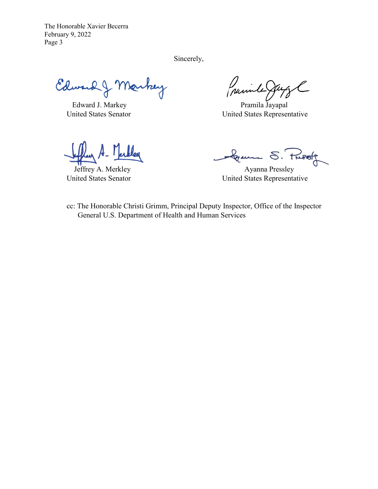The Honorable Xavier Becerra February 9, 2022 Page 3

Sincerely,

Edward J Markey

Guinha

Edward J. Markey Pramila Jayapal United States Senator United States Representative

Gramme S. Pusst

Jeffrey A. Merkley **Ayanna Pressley** United States Senator United States Representative

cc: The Honorable Christi Grimm, Principal Deputy Inspector, Office of the Inspector General U.S. Department of Health and Human Services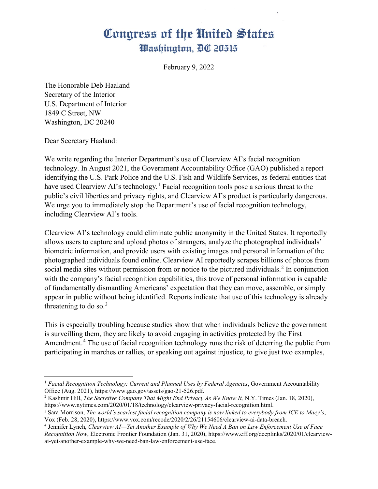February 9, 2022

The Honorable Deb Haaland Secretary of the Interior U.S. Department of Interior 1849 C Street, NW Washington, DC 20240

Dear Secretary Haaland:

l

We write regarding the Interior Department's use of Clearview AI's facial recognition technology. In August 2021, the Government Accountability Office (GAO) published a report identifying the U.S. Park Police and the U.S. Fish and Wildlife Services, as federal entities that have used Clearview AI's technology.<sup>[1](#page-12-0)</sup> Facial recognition tools pose a serious threat to the public's civil liberties and privacy rights, and Clearview AI's product is particularly dangerous. We urge you to immediately stop the Department's use of facial recognition technology, including Clearview AI's tools.

Clearview AI's technology could eliminate public anonymity in the United States. It reportedly allows users to capture and upload photos of strangers, analyze the photographed individuals' biometric information, and provide users with existing images and personal information of the photographed individuals found online. Clearview AI reportedly scrapes billions of photos from social media sites without permission from or notice to the pictured individuals.<sup>[2](#page-12-1)</sup> In conjunction with the company's facial recognition capabilities, this trove of personal information is capable of fundamentally dismantling Americans' expectation that they can move, assemble, or simply appear in public without being identified. Reports indicate that use of this technology is already threatening to do so. $3$ 

This is especially troubling because studies show that when individuals believe the government is surveilling them, they are likely to avoid engaging in activities protected by the First Amendment.<sup>[4](#page-12-3)</sup> The use of facial recognition technology runs the risk of deterring the public from participating in marches or rallies, or speaking out against injustice, to give just two examples,

<span id="page-12-0"></span><sup>&</sup>lt;sup>1</sup> Facial Recognition Technology: Current and Planned Uses by Federal Agencies, Government Accountability Office (Aug. 2021), https://www.gao.gov/assets/gao-21-526.pdf.

<span id="page-12-1"></span><sup>2</sup> Kashmir Hill, *The Secretive Company That Might End Privacy As We Know It,* N.Y. Times (Jan. 18, 2020), https://www.nytimes.com/2020/01/18/technology/clearview-privacy-facial-recognition.html.

<span id="page-12-2"></span><sup>3</sup> Sara Morrison, *The world's scariest facial recognition company is now linked to everybody from ICE to Macy's*, Vox (Feb. 28, 2020), https://www.vox.com/recode/2020/2/26/21154606/clearview-ai-data-breach.

<span id="page-12-3"></span><sup>4</sup> Jennifer Lynch, *Clearview AI—Yet Another Example of Why We Need A Ban on Law Enforcement Use of Face Recognition Now*, Electronic Frontier Foundation (Jan. 31, 2020), https://www.eff.org/deeplinks/2020/01/clearviewai-yet-another-example-why-we-need-ban-law-enforcement-use-face.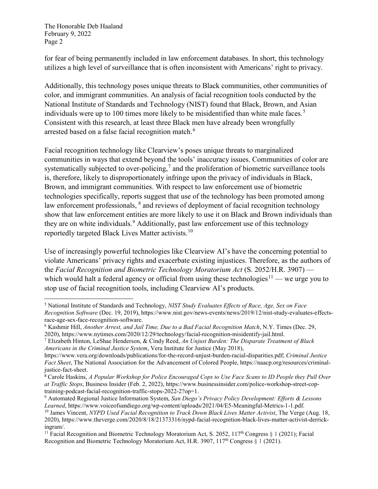The Honorable Deb Haaland February 9, 2022 Page 2

for fear of being permanently included in law enforcement databases. In short, this technology utilizes a high level of surveillance that is often inconsistent with Americans' right to privacy.

Additionally, this technology poses unique threats to Black communities, other communities of color, and immigrant communities. An analysis of facial recognition tools conducted by the National Institute of Standards and Technology (NIST) found that Black, Brown, and Asian individuals were up to 100 times more likely to be misidentified than white male faces.<sup>[5](#page-13-0)</sup> Consistent with this research, at least three Black men have already been wrongfully arrested based on a false facial recognition match.<sup>[6](#page-13-1)</sup>

Facial recognition technology like Clearview's poses unique threats to marginalized communities in ways that extend beyond the tools' inaccuracy issues. Communities of color are systematically subjected to over-policing,<sup>[7](#page-13-2)</sup> and the proliferation of biometric surveillance tools is, therefore, likely to disproportionately infringe upon the privacy of individuals in Black, Brown, and immigrant communities. With respect to law enforcement use of biometric technologies specifically, reports suggest that use of the technology has been promoted among law enforcement professionals, <sup>[8](#page-13-3)</sup> and reviews of deployment of facial recognition technology show that law enforcement entities are more likely to use it on Black and Brown individuals than they are on white individuals.<sup>[9](#page-13-4)</sup> Additionally, past law enforcement use of this technology reportedly targeted Black Lives Matter activists.<sup>[10](#page-13-5)</sup>

Use of increasingly powerful technologies like Clearview AI's have the concerning potential to violate Americans' privacy rights and exacerbate existing injustices. Therefore, as the authors of the *Facial Recognition and Biometric Technology Moratorium Act* (S. 2052/H.R. 3907) — which would halt a federal agency or official from using these technologies<sup>[11](#page-13-6)</sup> — we urge you to stop use of facial recognition tools, including Clearview AI's products.

<span id="page-13-0"></span> $\overline{a}$ <sup>5</sup> National Institute of Standards and Technology, *NIST Study Evaluates Effects of Race, Age, Sex on Face Recognition Software* (Dec. 19, 2019), https://www.nist.gov/news-events/news/2019/12/nist-study-evaluates-effectsrace-age-sex-face-recognition-software.

<span id="page-13-1"></span><sup>6</sup> Kashmir Hill, *Another Arrest, and Jail Time, Due to a Bad Facial Recognition Match*, N.Y. Times (Dec. 29, 2020), https://www.nytimes.com/2020/12/29/technology/facial-recognition-misidentify-jail.html. 7 Elizabeth Hinton, LeShae Henderson, & Cindy Reed, *An Unjust Burden: The Disparate Treatment of Black* 

<span id="page-13-2"></span>*Americans in the Criminal Justice System*, Vera Institute for Justice (May 2018),

https://www.vera.org/downloads/publications/for-the-record-unjust-burden-racial-disparities.pdf; *Criminal Justice Fact Sheet*, The National Association for the Advancement of Colored People, https://naacp.org/resources/criminaljustice-fact-sheet.

<span id="page-13-3"></span><sup>8</sup> Carole Haskins, *A Popular Workshop for Police Encouraged Cops to Use Face Scans to ID People they Pull Over at Traffic Stops*, Business Insider (Feb. 2, 2022), https://www.businessinsider.com/police-workshop-street-coptraining-podcast-facial-recognition-traffic-stops-2022-2?op=1.

<span id="page-13-4"></span><sup>9</sup> Automated Regional Justice Information System, *San Diego's Privacy Policy Development: Efforts & Lessons Learned*, https://www.voiceofsandiego.org/wp-content/uploads/2021/04/E5-Meaningful-Metrics-1-1.pdf. 10 James Vincent, *NYPD Used Facial Recognition to Track Down Black Lives Matter Activist*, The Verge (Aug. 18,

<span id="page-13-5"></span><sup>2020),</sup> https://www.theverge.com/2020/8/18/21373316/nypd-facial-recognition-black-lives-matter-activist-derrickingram/.

<span id="page-13-6"></span><sup>&</sup>lt;sup>11</sup> Facial Recognition and Biometric Technology Moratorium Act, S. 2052, 117<sup>th</sup> Congress § 1 (2021); Facial Recognition and Biometric Technology Moratorium Act, H.R. 3907,  $117<sup>th</sup>$  Congress  $\S 1$  (2021).